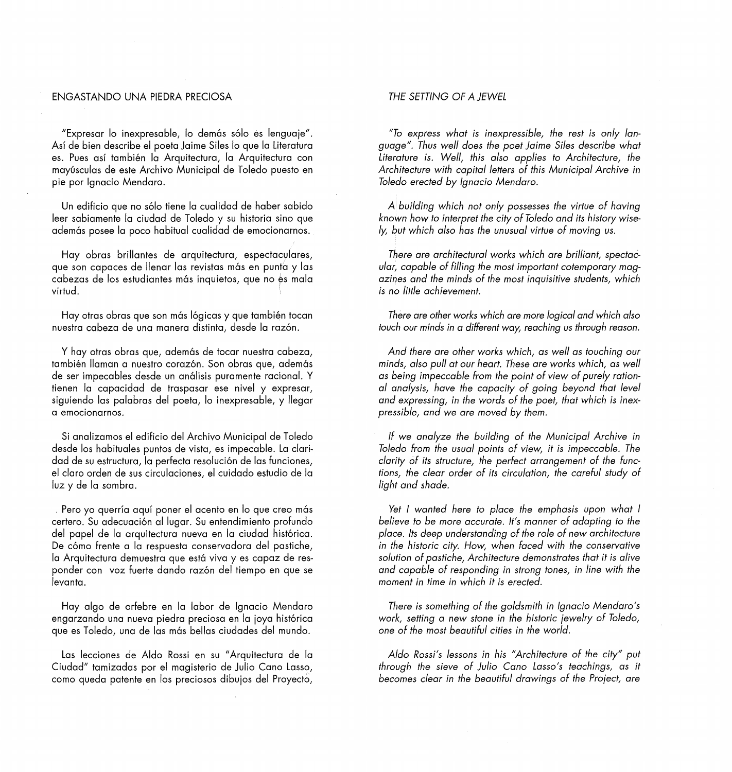## ENGASTANDO UNA PIEDRA PRECIOSA

"Expresar lo inexpresable, lo demás sólo és lenguaje". Así de bien describe el poeta Jaime Siles lo que la Literatura es. Pues así también la Arquitectura, la Arquitectura con mayúsculas de este Archivo Municipal de Toledo puesto en pie por Ignacio Mendaro.

Un edificio que no sólo tiene la cualidad de haber sabido leer sabiamente la ciudad de Toledo y su historia sino que además posee la poco habitual cualidad de emocionarnos.

Hay obras brillantes de arquitectura, espectaculares, que son capaces de llenar las revistas más en punta y las cabezas de los estudiantes más inquietos, que no es mala virtud.

Hay otras obras que son más lógicas y que también tocan nuestra cabeza de una manera distinta, desde la razón.

Y hay otras obras que, además de tocar nuestra cabeza, también llaman a nuestro corazón. Son obras que, además de ser impecables desde un análisis puramente racional. Y tienen la capacidad de traspasar ese nivel y expresar, siguiendo las palabras del poeta, lo inexpresable, y llegar a emocionarnos.

Si analizamos el edificio del Archivo Municipal de Toledo desde los habituales puntos de vista, es impecable. La claridad de su estructura, la perfecta resolución de las funciones, el claro orden de sus circulaciones, el cuidado estudio de la luz y de la sombra.

. Pero yo querría aquí poner el acento en lo que creo más certero. Su adecuación al lugar. Su entendimiento profundo del papel de la arquitectura nueva en la ciudad histórica. De cómo frente a la respuesta conservadora del pastiche, la Arquitectura demuestra que está viva y es capaz de responder con voz fuerte dando razón del tiempo en que se levanta.

Hay algo de orfebre en la labor de Ignacio Mendaro engarzando una nueva piedra preciosa en la joya histórica que es Toledo, una de las más bellas ciudades del mundo.

Las lecciones de Aldo Rossi en su "Arquitectura de la Ciudad" tamizadas por el magisterio de Julio Cano Lasso, como queda patente en los preciosos dibujos del Proyecto,

## *THE SETTING OF A JEWEL*

*"To express what is inexpressible, the rest is only language". Thus well does the poet Jaime Siles describe what*  Literature is. Well, this also applies to Architecture, the *Architecture with capital letters of this Municipal Archive in Toledo erected by Ignacio Mendaro.* 

A *building which not only possesses the virtue of having known how to interpret the city of Toledo and its history wisely, but which a/so has the unusual virtue of moving us.* 

*There are architectural works which are brilliant, spectacular, capable of filling the most important cotemporary magazines and the minds of the most inquisitive students, which is no little achievement.* 

*There are other works which are more logical and which a/so touch our minds in a different way, reaching us through reason.* 

*And there are other works which, as well as touching our minds, a/so pul/ at our heart. These are works which, as well as being impeccable from the point of view of purefy rational analysis, have the capacity of going beyond that leve! and expressing, in the words of the poet, that which is inexpressible, and we are moved by them.* 

*lf we analyze the building of the Municipal Archive in Toledo from the usual points of view, it is impeccable. The clarity of its structure, the perfect arrangement of the functions, the clear order of its circulation, the careful study of light and shade.* 

Yet I wanted here to place the emphasis upon what I *believe to be more accurate. lt's manner of adapting to the place. lts deep understanding of the role of new architecture in the historie city. How, when faced with the conservative solution of pastiche, Architecture demonstrates that it is alive and capable of responding in strong tones, in fine with the moment in time in which it is erected.* 

*There is something of the goldsmith in Ignacio Mendaro's work, setting a new stone in the historie ¡ewelry of Toledo, one of the most beautiful cities in the world.* 

*A/do Rossi's lessons in his "Architecture of the city" puf through the sieve of Julio Cano Lasso's teachings, as it becomes clear in the beautiful drawings of the Pro¡ect, are*